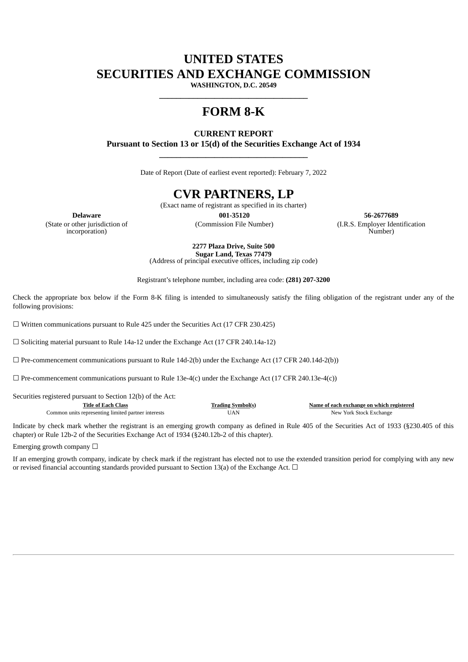# **UNITED STATES SECURITIES AND EXCHANGE COMMISSION**

**WASHINGTON, D.C. 20549 \_\_\_\_\_\_\_\_\_\_\_\_\_\_\_\_\_\_\_\_\_\_\_\_\_\_\_\_\_\_\_\_\_\_\_**

## **FORM 8-K**

**CURRENT REPORT Pursuant to Section 13 or 15(d) of the Securities Exchange Act of 1934**

**\_\_\_\_\_\_\_\_\_\_\_\_\_\_\_\_\_\_\_\_\_\_\_\_\_\_\_\_\_\_\_\_\_\_\_**

Date of Report (Date of earliest event reported): February 7, 2022

## **CVR PARTNERS, LP**

(Exact name of registrant as specified in its charter) **Delaware 001-35120 56-2677689**

(Commission File Number) (I.R.S. Employer Identification Number)

(State or other jurisdiction of incorporation)

> **2277 Plaza Drive, Suite 500 Sugar Land, Texas 77479**

(Address of principal executive offices, including zip code)

Registrant's telephone number, including area code: **(281) 207-3200**

Check the appropriate box below if the Form 8-K filing is intended to simultaneously satisfy the filing obligation of the registrant under any of the following provisions:

 $\Box$  Written communications pursuant to Rule 425 under the Securities Act (17 CFR 230.425)

 $\Box$  Soliciting material pursuant to Rule 14a-12 under the Exchange Act (17 CFR 240.14a-12)

 $\Box$  Pre-commencement communications pursuant to Rule 14d-2(b) under the Exchange Act (17 CFR 240.14d-2(b))

 $\Box$  Pre-commencement communications pursuant to Rule 13e-4(c) under the Exchange Act (17 CFR 240.13e-4(c))

Securities registered pursuant to Section 12(b) of the Act:

| Title of Each Class                                 | Trading Symbol(s) | Name of each exchange on which registered |
|-----------------------------------------------------|-------------------|-------------------------------------------|
| Common units representing limited partner interests | UAN               | New York Stock Exchange                   |

Indicate by check mark whether the registrant is an emerging growth company as defined in Rule 405 of the Securities Act of 1933 (§230.405 of this chapter) or Rule 12b-2 of the Securities Exchange Act of 1934 (§240.12b-2 of this chapter).

Emerging growth company  $\Box$ 

If an emerging growth company, indicate by check mark if the registrant has elected not to use the extended transition period for complying with any new or revised financial accounting standards provided pursuant to Section 13(a) of the Exchange Act.  $\Box$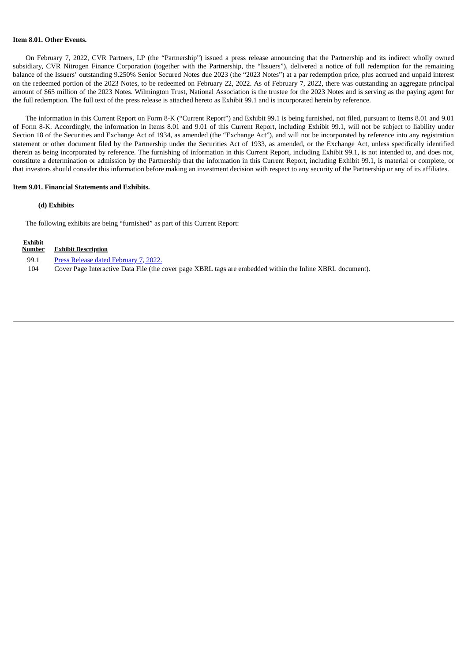## **Item 8.01. Other Events.**

On February 7, 2022, CVR Partners, LP (the "Partnership") issued a press release announcing that the Partnership and its indirect wholly owned subsidiary, CVR Nitrogen Finance Corporation (together with the Partnership, the "Issuers"), delivered a notice of full redemption for the remaining balance of the Issuers' outstanding 9.250% Senior Secured Notes due 2023 (the "2023 Notes") at a par redemption price, plus accrued and unpaid interest on the redeemed portion of the 2023 Notes, to be redeemed on February 22, 2022. As of February 7, 2022, there was outstanding an aggregate principal amount of \$65 million of the 2023 Notes. Wilmington Trust, National Association is the trustee for the 2023 Notes and is serving as the paying agent for the full redemption. The full text of the press release is attached hereto as Exhibit 99.1 and is incorporated herein by reference.

The information in this Current Report on Form 8-K ("Current Report") and Exhibit 99.1 is being furnished, not filed, pursuant to Items 8.01 and 9.01 of Form 8-K. Accordingly, the information in Items 8.01 and 9.01 of this Current Report, including Exhibit 99.1, will not be subject to liability under Section 18 of the Securities and Exchange Act of 1934, as amended (the "Exchange Act"), and will not be incorporated by reference into any registration statement or other document filed by the Partnership under the Securities Act of 1933, as amended, or the Exchange Act, unless specifically identified therein as being incorporated by reference. The furnishing of information in this Current Report, including Exhibit 99.1, is not intended to, and does not, constitute a determination or admission by the Partnership that the information in this Current Report, including Exhibit 99.1, is material or complete, or that investors should consider this information before making an investment decision with respect to any security of the Partnership or any of its affiliates.

## **Item 9.01. Financial Statements and Exhibits.**

## **(d) Exhibits**

The following exhibits are being "furnished" as part of this Current Report:

| Exhibit<br><u>Number</u> | <b>Exhibit Description</b>                                                                                |
|--------------------------|-----------------------------------------------------------------------------------------------------------|
| 99.1                     | Press Release dated February 7, 2022.                                                                     |
| 104                      | Cover Page Interactive Data File (the cover page XBRL tags are embedded within the Inline XBRL document). |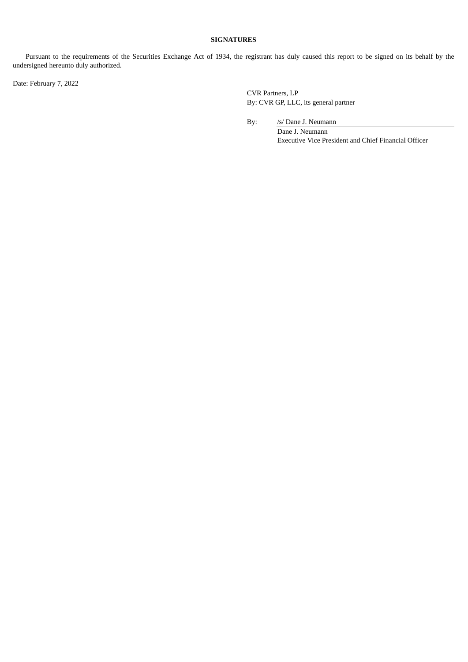## **SIGNATURES**

Pursuant to the requirements of the Securities Exchange Act of 1934, the registrant has duly caused this report to be signed on its behalf by the undersigned hereunto duly authorized.

Date: February 7, 2022

CVR Partners, LP By: CVR GP, LLC, its general partner

By: /s/ Dane J. Neumann

Dane J. Neumann Executive Vice President and Chief Financial Officer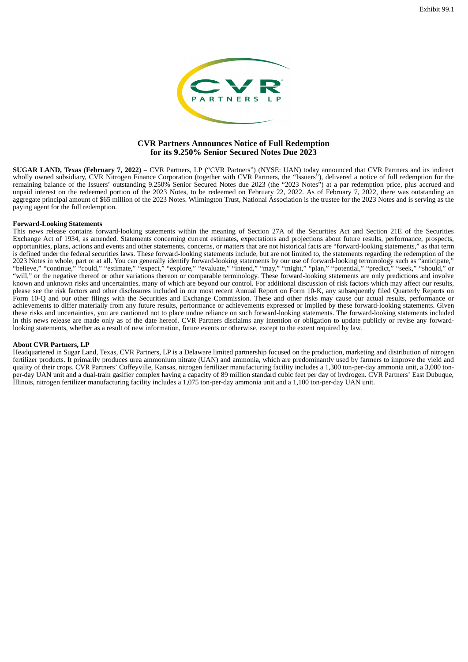

## **CVR Partners Announces Notice of Full Redemption for its 9.250% Senior Secured Notes Due 2023**

<span id="page-3-0"></span>**SUGAR LAND, Texas (February 7, 2022)** – CVR Partners, LP ("CVR Partners") (NYSE: UAN) today announced that CVR Partners and its indirect wholly owned subsidiary, CVR Nitrogen Finance Corporation (together with CVR Partners, the "Issuers"), delivered a notice of full redemption for the remaining balance of the Issuers' outstanding 9.250% Senior Secured Notes due 2023 (the "2023 Notes") at a par redemption price, plus accrued and unpaid interest on the redeemed portion of the 2023 Notes, to be redeemed on February 22, 2022. As of February 7, 2022, there was outstanding an aggregate principal amount of \$65 million of the 2023 Notes. Wilmington Trust, National Association is the trustee for the 2023 Notes and is serving as the paying agent for the full redemption.

### **Forward-Looking Statements**

This news release contains forward-looking statements within the meaning of Section 27A of the Securities Act and Section 21E of the Securities Exchange Act of 1934, as amended. Statements concerning current estimates, expectations and projections about future results, performance, prospects, opportunities, plans, actions and events and other statements, concerns, or matters that are not historical facts are "forward-looking statements," as that term is defined under the federal securities laws. These forward-looking statements include, but are not limited to, the statements regarding the redemption of the 2023 Notes in whole, part or at all. You can generally identify forward-looking statements by our use of forward-looking terminology such as "anticipate," "believe," "continue," "could," "estimate," "expect," "explore," "evaluate," "intend," "may," "might," "plan," "potential," "predict," "seek," "should," or "will," or the negative thereof or other variations thereon or comparable terminology. These forward-looking statements are only predictions and involve known and unknown risks and uncertainties, many of which are beyond our control. For additional discussion of risk factors which may affect our results, please see the risk factors and other disclosures included in our most recent Annual Report on Form 10-K, any subsequently filed Quarterly Reports on Form 10-Q and our other filings with the Securities and Exchange Commission. These and other risks may cause our actual results, performance or achievements to differ materially from any future results, performance or achievements expressed or implied by these forward-looking statements. Given these risks and uncertainties, you are cautioned not to place undue reliance on such forward-looking statements. The forward-looking statements included in this news release are made only as of the date hereof. CVR Partners disclaims any intention or obligation to update publicly or revise any forwardlooking statements, whether as a result of new information, future events or otherwise, except to the extent required by law.

#### **About CVR Partners, LP**

Headquartered in Sugar Land, Texas, CVR Partners, LP is a Delaware limited partnership focused on the production, marketing and distribution of nitrogen fertilizer products. It primarily produces urea ammonium nitrate (UAN) and ammonia, which are predominantly used by farmers to improve the yield and quality of their crops. CVR Partners' Coffeyville, Kansas, nitrogen fertilizer manufacturing facility includes a 1,300 ton-per-day ammonia unit, a 3,000 tonper-day UAN unit and a dual-train gasifier complex having a capacity of 89 million standard cubic feet per day of hydrogen. CVR Partners' East Dubuque, Illinois, nitrogen fertilizer manufacturing facility includes a 1,075 ton-per-day ammonia unit and a 1,100 ton-per-day UAN unit.